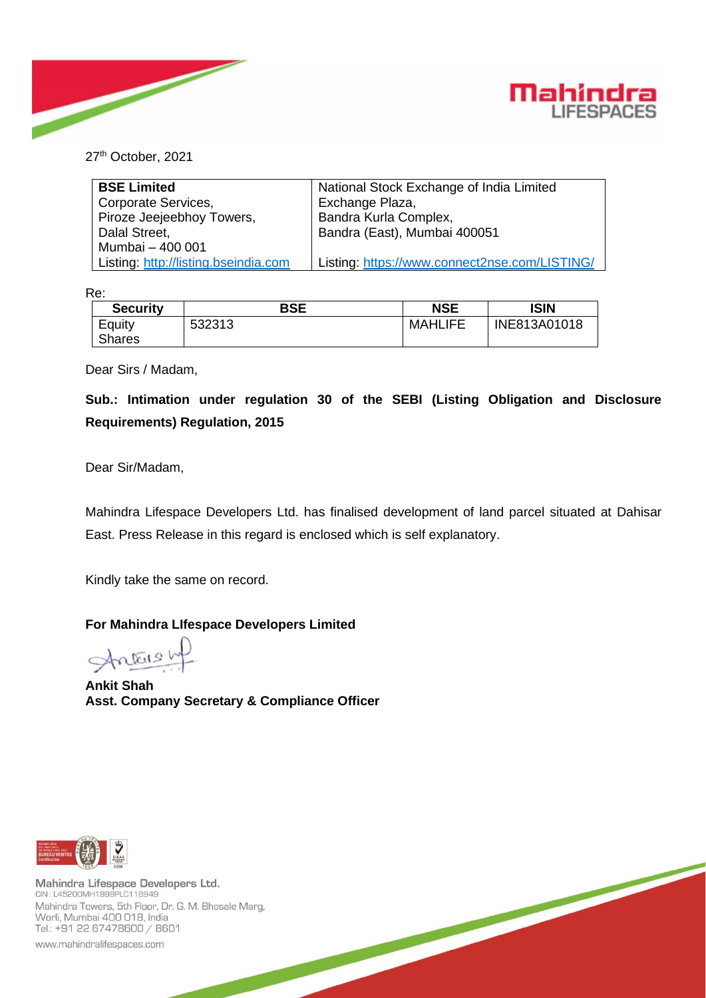



27<sup>th</sup> October, 2021

| <b>BSE Limited</b>                   | National Stock Exchange of India Limited      |
|--------------------------------------|-----------------------------------------------|
| Corporate Services,                  | Exchange Plaza,                               |
| Piroze Jeejeebhoy Towers,            | Bandra Kurla Complex,                         |
| Dalal Street,                        | Bandra (East), Mumbai 400051                  |
| Mumbai - 400 001                     |                                               |
| Listing: http://listing.bseindia.com | Listing: https://www.connect2nse.com/LISTING/ |

Re:

| <b>Security</b>         | <b>BSE</b> | <b>NSE</b>     | ISIN         |
|-------------------------|------------|----------------|--------------|
| Equity<br><b>Shares</b> | 532313     | <b>MAHLIFE</b> | INE813A01018 |

Dear Sirs / Madam,

**Sub.: Intimation under regulation 30 of the SEBI (Listing Obligation and Disclosure Requirements) Regulation, 2015**

Dear Sir/Madam,

Mahindra Lifespace Developers Ltd. has finalised development of land parcel situated at Dahisar East. Press Release in this regard is enclosed which is self explanatory.

Kindly take the same on record.

## **For Mahindra LIfespace Developers Limited**

Antonship

**Ankit Shah Asst. Company Secretary & Compliance Officer**



Mahindra Lifespace Developers Ltd. CIN: L45200MH1999PLC118949 Mahindra Towers, 5th Floor, Dr. G. M. Bhosale Marg, Worli, Mumbai 400 018, India Tel.: +91 22 67478600 / 8601

www.mahindralifespaces.com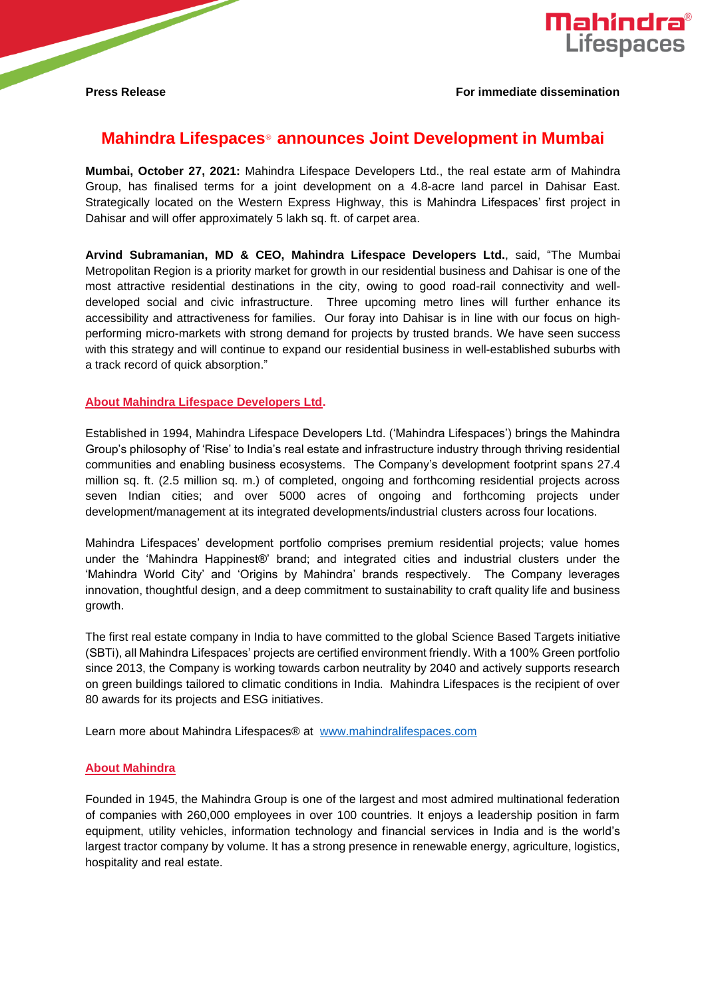## **Mahindra Lifespaces**® **announces Joint Development in Mumbai**

**Mumbai, October 27, 2021:** Mahindra Lifespace Developers Ltd., the real estate arm of Mahindra Group, has finalised terms for a joint development on a 4.8-acre land parcel in Dahisar East. Strategically located on the Western Express Highway, this is Mahindra Lifespaces' first project in Dahisar and will offer approximately 5 lakh sq. ft. of carpet area.

**Arvind Subramanian, MD & CEO, Mahindra Lifespace Developers Ltd.**, said, "The Mumbai Metropolitan Region is a priority market for growth in our residential business and Dahisar is one of the most attractive residential destinations in the city, owing to good road-rail connectivity and welldeveloped social and civic infrastructure. Three upcoming metro lines will further enhance its accessibility and attractiveness for families. Our foray into Dahisar is in line with our focus on highperforming micro-markets with strong demand for projects by trusted brands. We have seen success with this strategy and will continue to expand our residential business in well-established suburbs with a track record of quick absorption."

## **About Mahindra Lifespace Developers Ltd.**

Established in 1994, Mahindra Lifespace Developers Ltd. ('Mahindra Lifespaces') brings the Mahindra Group's philosophy of 'Rise' to India's real estate and infrastructure industry through thriving residential communities and enabling business ecosystems. The Company's development footprint spans 27.4 million sq. ft. (2.5 million sq. m.) of completed, ongoing and forthcoming residential projects across seven Indian cities; and over 5000 acres of ongoing and forthcoming projects under development/management at its integrated developments/industrial clusters across four locations.

Mahindra Lifespaces' development portfolio comprises premium residential projects; value homes under the 'Mahindra Happinest®' brand; and integrated cities and industrial clusters under the 'Mahindra World City' and 'Origins by Mahindra' brands respectively. The Company leverages innovation, thoughtful design, and a deep commitment to sustainability to craft quality life and business growth.

The first real estate company in India to have committed to the global Science Based Targets initiative (SBTi), all Mahindra Lifespaces' projects are certified environment friendly. With a 100% Green portfolio since 2013, the Company is working towards carbon neutrality by 2040 and actively supports research on green buildings tailored to climatic conditions in India. Mahindra Lifespaces is the recipient of over 80 awards for its projects and ESG initiatives.

Learn more about Mahindra Lifespaces® at [www.mahindralifespaces.com](https://secure-web.cisco.com/1JbF72IM6o5BQbSsn2UvN2-CDwf-9rOq5YefrbcLqpGmHNdA_DjJhacJZEp8xpAneqlon262GLsASig5cbyYwXDEJOAiP7K0CV04IDUmVkzf6V798ZHfKMy6WRQdi9A2-5cNlIHCAaEOCo_b4q9joP_iKcaoKgnMnqL7sOO2-7C4NmZosc-JXUd6N5Vfse_ipWwnucAReC1rVytPbH9wDZx1av4ZL8qKavqkdypBaw0eK4Kq-8AVvmEY8bYkMhDUrvTpKLdWqJyB1pLJnM8Rnp5SY2yXwmlPuATEhIYVVeReO5rzGSkgoTnUr8tso34Xe252uhjicwDX1LXEGBGpUnA/https%3A%2F%2Find01.safelinks.protection.outlook.com%2F%3Furl%3Dhttp%253A%252F%252Fwww.mahindralifespaces.com%252F%26data%3D04%257C01%257Cgautam.sharma%254099acres.com%257C98be666a085f4b466ca808d971d59495%257C0ee9b5f952b343518198c4804cd66b68%257C0%257C0%257C637665985654970399%257CUnknown%257CTWFpbGZsb3d8eyJWIjoiMC4wLjAwMDAiLCJQIjoiV2luMzIiLCJBTiI6Ik1haWwiLCJXVCI6Mn0%253D%257C2000%26sdata%3D7UUWXGB95Cekpjg7Z17YMl2DtrabN%252B%252F%252Fd8Nn7978POI%253D%26reserved%3D0)

## **About Mahindra**

Founded in 1945, the Mahindra Group is one of the largest and most admired multinational federation of companies with 260,000 employees in over 100 countries. It enjoys a leadership position in farm equipment, utility vehicles, information technology and financial services in India and is the world's largest tractor company by volume. It has a strong presence in renewable energy, agriculture, logistics, hospitality and real estate.